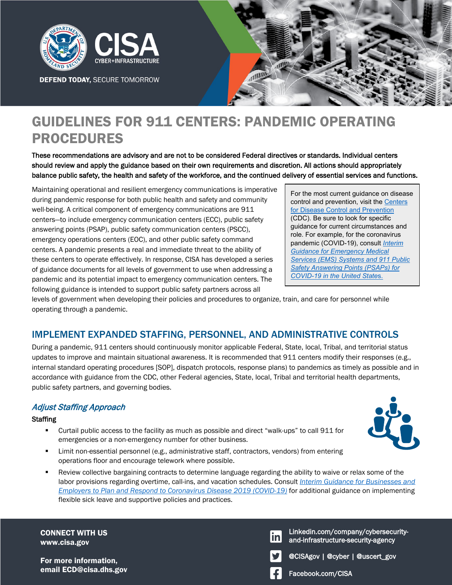

**DEFEND TODAY, SECURE TOMORROW** 



# GUIDELINES FOR 911 CENTERS: PANDEMIC OPERATING PROCEDURES

These recommendations are advisory and are not to be considered Federal directives or standards. Individual centers should review and apply the guidance based on their own requirements and discretion. All actions should appropriately balance public safety, the health and safety of the workforce, and the continued delivery of essential services and functions.

Maintaining operational and resilient emergency communications is imperative during pandemic response for both public health and safety and community well-being. A critical component of emergency communications are 911 centers—to include emergency communication centers (ECC), public safety answering points (PSAP), public safety communication centers (PSCC), emergency operations centers (EOC), and other public safety command centers. A pandemic presents a real and immediate threat to the ability of these centers to operate effectively. In response, CISA has developed a series of guidance documents for all levels of government to use when addressing a pandemic and its potential impact to emergency communication centers. The following guidance is intended to support public safety partners across all

For the most current guidance on disease control and prevention, visit the [Centers](https://www.cdc.gov/)  [for Disease Control and Prevention](https://www.cdc.gov/) (CDC). Be sure to look for specific guidance for current circumstances and role. For example, for the coronavirus pandemic (COVID-19), consult *[Interim](https://www.cdc.gov/coronavirus/2019-ncov/hcp/guidance-for-ems.html)  [Guidance for Emergency Medical](https://www.cdc.gov/coronavirus/2019-ncov/hcp/guidance-for-ems.html)  [Services \(EMS\) Systems and 911 Public](https://www.cdc.gov/coronavirus/2019-ncov/hcp/guidance-for-ems.html)  [Safety Answering Points \(PSAPs\) for](https://www.cdc.gov/coronavirus/2019-ncov/hcp/guidance-for-ems.html)  [COVID-19 in the United State](https://www.cdc.gov/coronavirus/2019-ncov/hcp/guidance-for-ems.html)*s.

levels of government when developing their policies and procedures to organize, train, and care for personnel while operating through a pandemic.

### IMPLEMENT EXPANDED STAFFING, PERSONNEL, AND ADMINISTRATIVE CONTROLS

During a pandemic, 911 centers should continuously monitor applicable Federal, State, local, Tribal, and territorial status updates to improve and maintain situational awareness. It is recommended that 911 centers modify their responses (e.g., internal standard operating procedures [SOP], dispatch protocols, response plans) to pandemics as timely as possible and in accordance with guidance from the CDC, other Federal agencies, State, local, Tribal and territorial health departments, public safety partners, and governing bodies.

### Adjust Staffing Approach

#### **Staffing**

- Curtail public access to the facility as much as possible and direct "walk-ups" to call 911 for emergencies or a non-emergency number for other business.
- Limit non-essential personnel (e.g., administrative staff, contractors, vendors) from entering operations floor and encourage telework where possible.
- Review collective bargaining contracts to determine language regarding the ability to waive or relax some of the labor provisions regarding overtime, call-ins, and vacation schedules. Consult *[Interim Guidance for Businesses and](https://www.cdc.gov/coronavirus/2019-ncov/community/guidance-business-response.html?CDC_AA_refVal=https%3A%2F%2Fwww.cdc.gov%2Fcoronavirus%2F2019-ncov%2Fspecific-groups%2Fguidance-business-response.html)  [Employers to Plan and Respond to Coronavirus Disease 2019 \(COVID-19\)](https://www.cdc.gov/coronavirus/2019-ncov/community/guidance-business-response.html?CDC_AA_refVal=https%3A%2F%2Fwww.cdc.gov%2Fcoronavirus%2F2019-ncov%2Fspecific-groups%2Fguidance-business-response.html)* for additional guidance on implementing flexible sick leave and supportive policies and practices.

CONNECT WITH US www.cisa.gov

For more information, email ECD@cisa.dhs.gov Facebook.com/CISA

Linkedin.com/company/cybersecurityinl and-infrastructure-security-agency



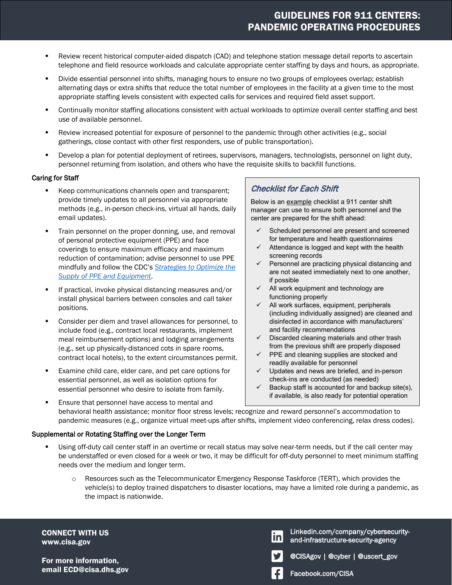## GUIDELINES FOR 911 CENTERS: PANDEMIC OPERATING PROCEDURES

- Review recent historical computer-aided dispatch (CAD) and telephone station message detail reports to ascertain telephone and field resource workloads and calculate appropriate center staffing by days and hours, as appropriate.
- Divide essential personnel into shifts, managing hours to ensure no two groups of employees overlap; establish alternating days or extra shifts that reduce the total number of employees in the facility at a given time to the most appropriate staffing levels consistent with expected calls for services and required field asset support.
- Continually monitor staffing allocations consistent with actual workloads to optimize overall center staffing and best use of available personnel.
- Review increased potential for exposure of personnel to the pandemic through other activities (e.g., social gatherings, close contact with other first responders, use of public transportation).
- Develop a plan for potential deployment of retirees, supervisors, managers, technologists, personnel on light duty, personnel returning from isolation, and others who have the requisite skills to backfill functions.

#### Caring for Staff

- Keep communications channels open and transparent; provide timely updates to all personnel via appropriate methods (e.g., in-person check-ins, virtual all hands, daily email updates).
- **Train personnel on the proper donning, use, and removal** of personal protective equipment (PPE) and face coverings to ensure maximum efficacy and maximum reduction of contamination; advise personnel to use PPE mindfully and follow the CDC's *[Strategies to Optimize the](https://www.cdc.gov/coronavirus/2019-ncov/hcp/ppe-strategy/index.html?CDC_AA_refVal=https%3A%2F%2Fwww.cdc.gov%2Fcoronavirus%2F2019-ncov%2Fhcp%2Fhealthcare-supply-ppe-index.html)  [Supply of PPE and Equipment](https://www.cdc.gov/coronavirus/2019-ncov/hcp/ppe-strategy/index.html?CDC_AA_refVal=https%3A%2F%2Fwww.cdc.gov%2Fcoronavirus%2F2019-ncov%2Fhcp%2Fhealthcare-supply-ppe-index.html)*.
- If practical, invoke physical distancing measures and/or install physical barriers between consoles and call taker positions.
- Consider per diem and travel allowances for personnel, to include food (e.g., contract local restaurants, implement meal reimbursement options) and lodging arrangements (e.g., set up physically-distanced cots in spare rooms, contract local hotels), to the extent circumstances permit.
- **Examine child care, elder care, and pet care options for** essential personnel, as well as isolation options for essential personnel who desire to isolate from family.

### Checklist for Each Shift

Below is an example checklist a 911 center shift manager can use to ensure both personnel and the center are prepared for the shift ahead:

- $\checkmark$  Scheduled personnel are present and screened for temperature and health questionnaires
- $\checkmark$  Attendance is logged and kept with the health screening records
- $\checkmark$  Personnel are practicing physical distancing and are not seated immediately next to one another, if possible
- $\checkmark$  All work equipment and technology are functioning properly
- $\checkmark$  All work surfaces, equipment, peripherals (including individually assigned) are cleaned and disinfected in accordance with manufacturers' and facility recommendations
- $\checkmark$  Discarded cleaning materials and other trash from the previous shift are properly disposed
- $\checkmark$  PPE and cleaning supplies are stocked and readily available for personnel
- $\checkmark$  Updates and news are briefed, and in-person check-ins are conducted (as needed)
- $\checkmark$  Backup staff is accounted for and backup site(s), if available, is also ready for potential operation
- **Ensure that personnel have access to mental and** behavioral health assistance; monitor floor stress levels; recognize and reward personnel's accommodation to pandemic measures (e.g., organize virtual meet-ups after shifts, implement video conferencing, relax dress codes).

#### Supplemental or Rotating Staffing over the Longer Term

- Using off-duty call center staff in an overtime or recall status may solve near-term needs, but if the call center may be understaffed or even closed for a week or two, it may be difficult for off-duty personnel to meet minimum staffing needs over the medium and longer term.
	- o Resources such as the Telecommunicator Emergency Response Taskforce (TERT), which provides the vehicle(s) to deploy trained dispatchers to disaster locations, may have a limited role during a pandemic, as the impact is nationwide.

CONNECT WITH US www.cisa.gov

For more information, email ECD@cisa.dhs.gov Facebook.com/CISA

Linkedin.com/company/cybersecuritylinl and-infrastructure-security-agency



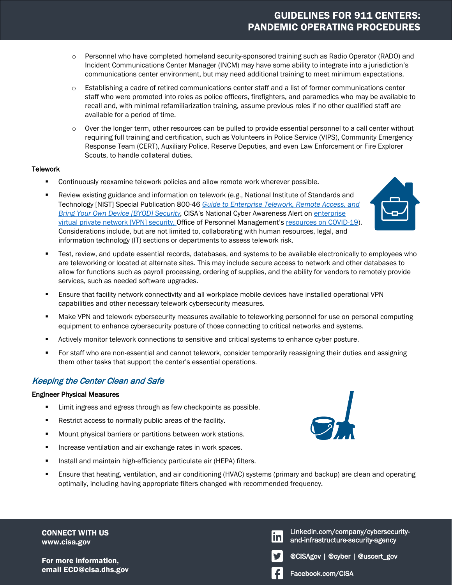### GUIDELINES FOR 911 CENTERS: PANDEMIC OPERATING PROCEDURES

- o Personnel who have completed homeland security-sponsored training such as Radio Operator (RADO) and Incident Communications Center Manager (INCM) may have some ability to integrate into a jurisdiction's communications center environment, but may need additional training to meet minimum expectations.
- o Establishing a cadre of retired communications center staff and a list of former communications center staff who were promoted into roles as police officers, firefighters, and paramedics who may be available to recall and, with minimal refamiliarization training, assume previous roles if no other qualified staff are available for a period of time.
- Over the longer term, other resources can be pulled to provide essential personnel to a call center without requiring full training and certification, such as Volunteers in Police Service (VIPS), Community Emergency Response Team (CERT), Auxiliary Police, Reserve Deputies, and even Law Enforcement or Fire Explorer Scouts, to handle collateral duties.

#### **Telework**

- Continuously reexamine telework policies and allow remote work wherever possible.
- **Para Francis** existing guidance and information on telework (e.g., National Institute of Standards and Technology [NIST] Special Publication 800-46 *[Guide to Enterprise Telework, Remote Access, and](https://csrc.nist.gov/publications/detail/sp/800-46/rev-2/final)  [Bring Your Own Device \[BYOD\] Security,](https://csrc.nist.gov/publications/detail/sp/800-46/rev-2/final)* CISA's National Cyber Awareness Alert on [enterprise](https://www.us-cert.gov/ncas/alerts/aa20-073a)  [virtual private network \[VPN\] security,](https://www.us-cert.gov/ncas/alerts/aa20-073a) Office of Personnel Management's [resources on COVID-19\)](https://www.opm.gov/policy-data-oversight/covid-19/). Considerations include, but are not limited to, collaborating with human resources, legal, and information technology (IT) sections or departments to assess telework risk.



- **Test, review, and update essential records, databases, and systems to be available electronically to employees who** are teleworking or located at alternate sites. This may include secure access to network and other databases to allow for functions such as payroll processing, ordering of supplies, and the ability for vendors to remotely provide services, such as needed software upgrades.
- Ensure that facility network connectivity and all workplace mobile devices have installed operational VPN capabilities and other necessary telework cybersecurity measures.
- **Make VPN and telework cybersecurity measures available to teleworking personnel for use on personal computing** equipment to enhance cybersecurity posture of those connecting to critical networks and systems.
- **EXECT Actively monitor telework connections to sensitive and critical systems to enhance cyber posture.**
- **F** For staff who are non-essential and cannot telework, consider temporarily reassigning their duties and assigning them other tasks that support the center's essential operations.

### Keeping the Center Clean and Safe

#### Engineer Physical Measures

- **Limit ingress and egress through as few checkpoints as possible.**
- **Restrict access to normally public areas of the facility.**
- **Mount physical barriers or partitions between work stations.**
- **Increase ventilation and air exchange rates in work spaces.**
- **Install and maintain high-efficiency particulate air (HEPA) filters.**
- Ensure that heating, ventilation, and air conditioning (HVAC) systems (primary and backup) are clean and operating optimally, including having appropriate filters changed with recommended frequency.

CONNECT WITH US www.cisa.gov

For more information, email ECD@cisa.dhs.gov email Facebook.com/CISA

Linkedin.com/company/cybersecurity-<u>in</u> and-infrastructure-security-agency



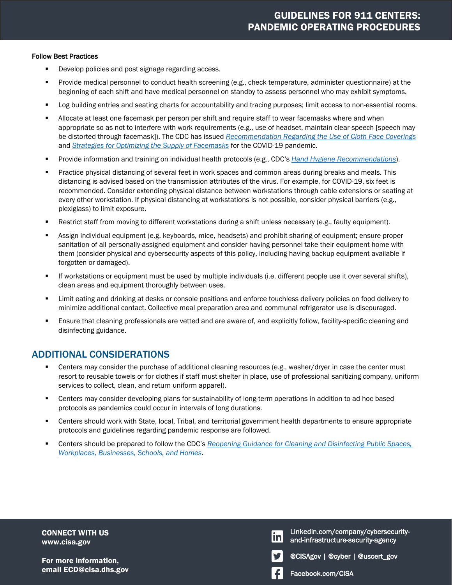#### Follow Best Practices

- **Develop policies and post signage regarding access.**
- Provide medical personnel to conduct health screening (e.g., check temperature, administer questionnaire) at the beginning of each shift and have medical personnel on standby to assess personnel who may exhibit symptoms.
- **Log building entries and seating charts for accountability and tracing purposes; limit access to non-essential rooms.**
- **Allocate at least one facemask per person per shift and require staff to wear facemasks where and when** appropriate so as not to interfere with work requirements (e.g., use of headset, maintain clear speech [speech may be distorted through facemask]). The CDC has issued *[Recommendation Regarding the Use of Cloth Face Coverings](https://www.cdc.gov/coronavirus/2019-ncov/prevent-getting-sick/cloth-face-cover.html)* and *[Strategies for Optimizing the Supply of Facemasks](https://www.cdc.gov/coronavirus/2019-ncov/hcp/ppe-strategy/face-masks.html)* for the COVID-19 pandemic.
- Provide information and training on individual health protocols (e.g., CDC's *[Hand Hygiene Recommendations](https://www.cdc.gov/coronavirus/2019-ncov/hcp/hand-hygiene.html)*).
- **Practice physical distancing of several feet in work spaces and common areas during breaks and meals. This** distancing is advised based on the transmission attributes of the virus. For example, for COVID-19, six feet is recommended. Consider extending physical distance between workstations through cable extensions or seating at every other workstation. If physical distancing at workstations is not possible, consider physical barriers (e.g., plexiglass) to limit exposure.
- **EXECT** Restrict staff from moving to different workstations during a shift unless necessary (e.g., faulty equipment).
- Assign individual equipment (e.g. keyboards, mice, headsets) and prohibit sharing of equipment; ensure proper sanitation of all personally-assigned equipment and consider having personnel take their equipment home with them (consider physical and cybersecurity aspects of this policy, including having backup equipment available if forgotten or damaged).
- If workstations or equipment must be used by multiple individuals (i.e. different people use it over several shifts), clean areas and equipment thoroughly between uses.
- **EXECT 1** Limit eating and drinking at desks or console positions and enforce touchless delivery policies on food delivery to minimize additional contact. Collective meal preparation area and communal refrigerator use is discouraged.
- **Ensure that cleaning professionals are vetted and are aware of, and explicitly follow, facility-specific cleaning and** disinfecting guidance.

### ADDITIONAL CONSIDERATIONS

- Centers may consider the purchase of additional cleaning resources (e.g., washer/dryer in case the center must resort to reusable towels or for clothes if staff must shelter in place, use of professional sanitizing company, uniform services to collect, clean, and return uniform apparel).
- Centers may consider developing plans for sustainability of long-term operations in addition to ad hoc based protocols as pandemics could occur in intervals of long durations.
- Centers should work with State, local, Tribal, and territorial government health departments to ensure appropriate protocols and guidelines regarding pandemic response are followed.
- Centers should be prepared to follow the CDC's *[Reopening Guidance for Cleaning and Disinfecting Public Spaces,](https://www.cdc.gov/coronavirus/2019-ncov/community/reopen-guidance.html)  [Workplaces, Businesses, Schools, and Homes](https://www.cdc.gov/coronavirus/2019-ncov/community/reopen-guidance.html)*.

CONNECT WITH US www.cisa.gov

For more information, email ECD@cisa.dhs.gov Facebook.com/CISA

Linkedin.com/company/cybersecuritylinl and-infrastructure-security-agency